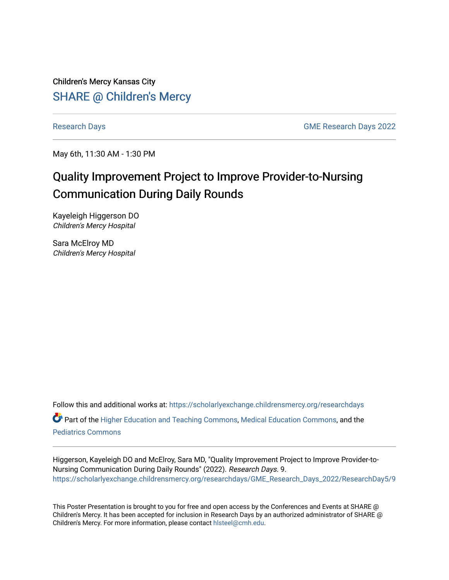Children's Mercy Kansas City **SHARE @ Children's Mercy** 

[Research Days](https://scholarlyexchange.childrensmercy.org/researchdays) [GME Research Days 2022](https://scholarlyexchange.childrensmercy.org/researchdays/GME_Research_Days_2022) 

May 6th, 11:30 AM - 1:30 PM

# Quality Improvement Project to Improve Provider-to-Nursing Communication During Daily Rounds

Kayeleigh Higgerson DO Children's Mercy Hospital

Sara McElroy MD Children's Mercy Hospital

Follow this and additional works at: [https://scholarlyexchange.childrensmercy.org/researchdays](https://scholarlyexchange.childrensmercy.org/researchdays?utm_source=scholarlyexchange.childrensmercy.org%2Fresearchdays%2FGME_Research_Days_2022%2FResearchDay5%2F9&utm_medium=PDF&utm_campaign=PDFCoverPages) 

Part of the [Higher Education and Teaching Commons](http://network.bepress.com/hgg/discipline/806?utm_source=scholarlyexchange.childrensmercy.org%2Fresearchdays%2FGME_Research_Days_2022%2FResearchDay5%2F9&utm_medium=PDF&utm_campaign=PDFCoverPages), [Medical Education Commons](http://network.bepress.com/hgg/discipline/1125?utm_source=scholarlyexchange.childrensmercy.org%2Fresearchdays%2FGME_Research_Days_2022%2FResearchDay5%2F9&utm_medium=PDF&utm_campaign=PDFCoverPages), and the [Pediatrics Commons](http://network.bepress.com/hgg/discipline/700?utm_source=scholarlyexchange.childrensmercy.org%2Fresearchdays%2FGME_Research_Days_2022%2FResearchDay5%2F9&utm_medium=PDF&utm_campaign=PDFCoverPages)

Higgerson, Kayeleigh DO and McElroy, Sara MD, "Quality Improvement Project to Improve Provider-to-Nursing Communication During Daily Rounds" (2022). Research Days. 9. [https://scholarlyexchange.childrensmercy.org/researchdays/GME\\_Research\\_Days\\_2022/ResearchDay5/9](https://scholarlyexchange.childrensmercy.org/researchdays/GME_Research_Days_2022/ResearchDay5/9?utm_source=scholarlyexchange.childrensmercy.org%2Fresearchdays%2FGME_Research_Days_2022%2FResearchDay5%2F9&utm_medium=PDF&utm_campaign=PDFCoverPages) 

This Poster Presentation is brought to you for free and open access by the Conferences and Events at SHARE @ Children's Mercy. It has been accepted for inclusion in Research Days by an authorized administrator of SHARE @ Children's Mercy. For more information, please contact [hlsteel@cmh.edu](mailto:hlsteel@cmh.edu).